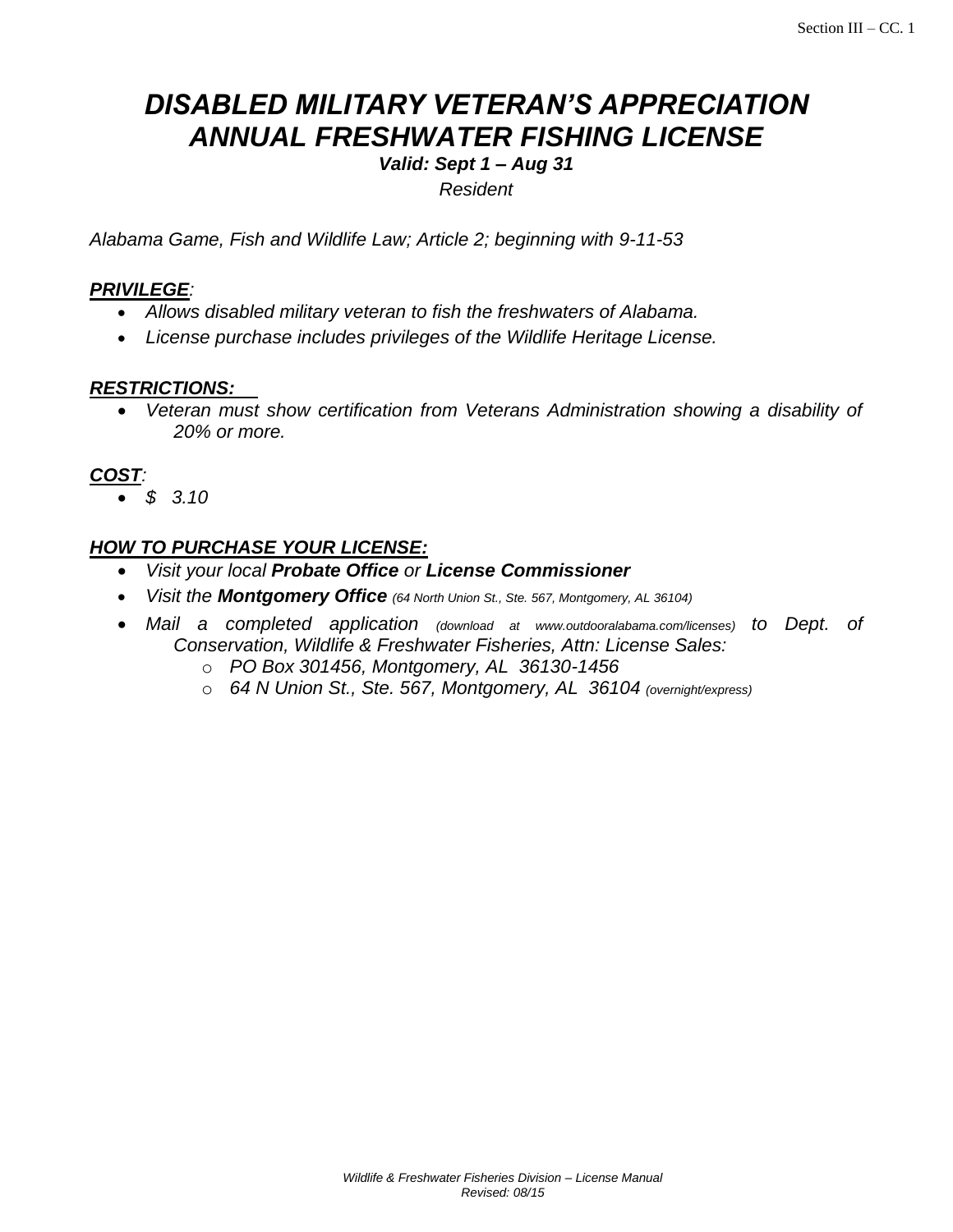# *DISABLED MILITARY VETERAN'S APPRECIATION ANNUAL FRESHWATER FISHING LICENSE*

*Valid: Sept 1 – Aug 31*

*Resident*

*Alabama Game, Fish and Wildlife Law; Article 2; beginning with 9-11-53* 

### *PRIVILEGE:*

- *Allows disabled military veteran to fish the freshwaters of Alabama.*
- *License purchase includes privileges of the Wildlife Heritage License.*

#### *RESTRICTIONS:*

 *Veteran must show certification from Veterans Administration showing a disability of 20% or more.*

# *COST:*

*\$ 3.10* 

# *HOW TO PURCHASE YOUR LICENSE:*

- *Visit your local Probate Office or License Commissioner*
- *Visit the Montgomery Office (64 North Union St., Ste. 567, Montgomery, AL 36104)*
- *Mail a completed application (download at www.outdooralabama.com/licenses) to Dept. of Conservation, Wildlife & Freshwater Fisheries, Attn: License Sales:*
	- o *PO Box 301456, Montgomery, AL 36130-1456*
	- o *64 N Union St., Ste. 567, Montgomery, AL 36104 (overnight/express)*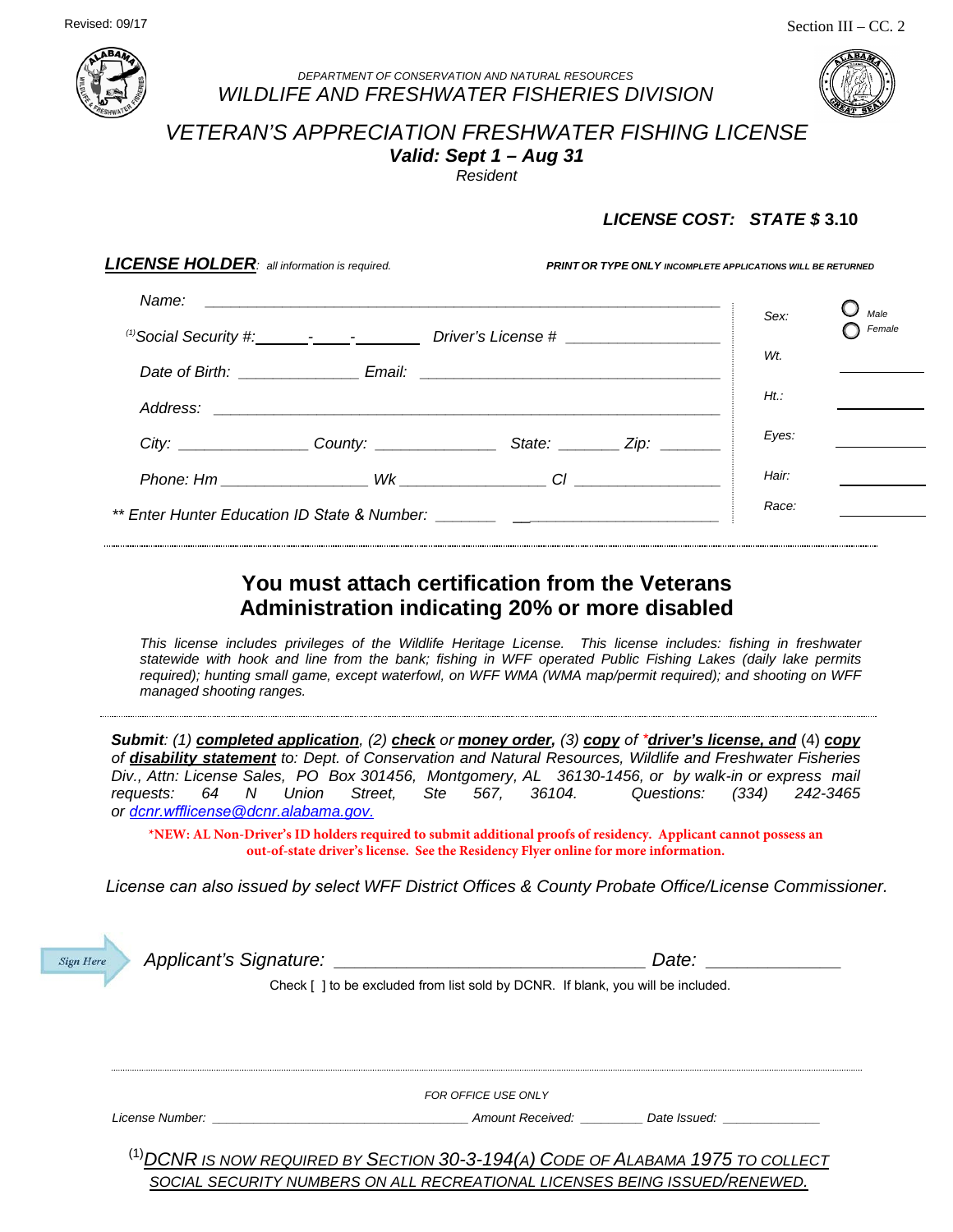

#### *DEPARTMENT OF CONSERVATION AND NATURAL RESOURCES WILDLIFE AND FRESHWATER FISHERIES DIVISION*



# *VETERAN'S APPRECIATION FRESHWATER FISHING LICENSE Valid: Sept 1 – Aug 31*

*Resident*

### *LICENSE COST: STATE \$* **3.10**

| <b>LICENSE HOLDER:</b> all information is required.                              |       | PRINT OR TYPE ONLY INCOMPLETE APPLICATIONS WILL BE RETURNED                                 |         |        |  |
|----------------------------------------------------------------------------------|-------|---------------------------------------------------------------------------------------------|---------|--------|--|
| Name:                                                                            |       | <u> 1980 - Andrea Andrew Maria (h. 1980).</u><br>Nobel de Andrew Maria (h. 1980).           | Sex:    | Male   |  |
|                                                                                  |       |                                                                                             |         | Female |  |
|                                                                                  |       | Date of Birth: _______________________Email: ___________________________________            | Wt.     |        |  |
|                                                                                  |       |                                                                                             | $Ht$ .: |        |  |
|                                                                                  |       |                                                                                             |         |        |  |
|                                                                                  |       | City: ____________________County: ________________________State: ___________Zip: __________ | Eyes:   |        |  |
|                                                                                  |       | $P$ hone: Hm $Wk$ $\qquad \qquad \qquad \text{Cl}$ $\qquad \qquad \text{Cl}$                | Hair:   |        |  |
| ** Enter Hunter Education ID State & Number: ___________________________________ | Race: |                                                                                             |         |        |  |
|                                                                                  |       |                                                                                             |         |        |  |

# **You must attach certification from the Veterans Administration indicating 20% or more disabled**

*This license includes privileges of the Wildlife Heritage License. This license includes: fishing in freshwater statewide with hook and line from the bank; fishing in WFF operated Public Fishing Lakes (daily lake permits required); hunting small game, except waterfowl, on WFF WMA (WMA map/permit required); and shooting on WFF managed shooting ranges.*

*Submit: (1) completed application, (2) check or money order, (3) copy of \*driver's license, and* (4) *copy of disability statement to: Dept. of Conservation and Natural Resources, Wildlife and Freshwater Fisheries Div., Attn: License Sales, PO Box 301456, Montgomery, AL 36130-1456, or by walk-in or express mail requests: 64 N Union Street, Ste 567, 36104. Questions: (334) 242-3465 or dcnr.wfflicense[@dcnr.alabama.go](mailto:dcnr.wfflicense@dcnr.alabama.gov)v.* 

**\*NEW: AL Non-Driver's ID holders required to submit additional proofs of residency. Applicant cannot possess an out-of-state driver's license. See the Residency Flyer online for more information.**

*License can also issued by select WFF District Offices & County Probate Office/License Commissioner.* 

| <b>Sign Here</b> |                                                                                       | Date: |  |
|------------------|---------------------------------------------------------------------------------------|-------|--|
|                  | Check [] to be excluded from list sold by DCNR. If blank, you will be included.       |       |  |
|                  |                                                                                       |       |  |
|                  |                                                                                       |       |  |
|                  |                                                                                       |       |  |
|                  | FOR OFFICE USE ONLY                                                                   |       |  |
|                  | License Number: the contract of the contract of the Amount Received: The Date Issued: |       |  |